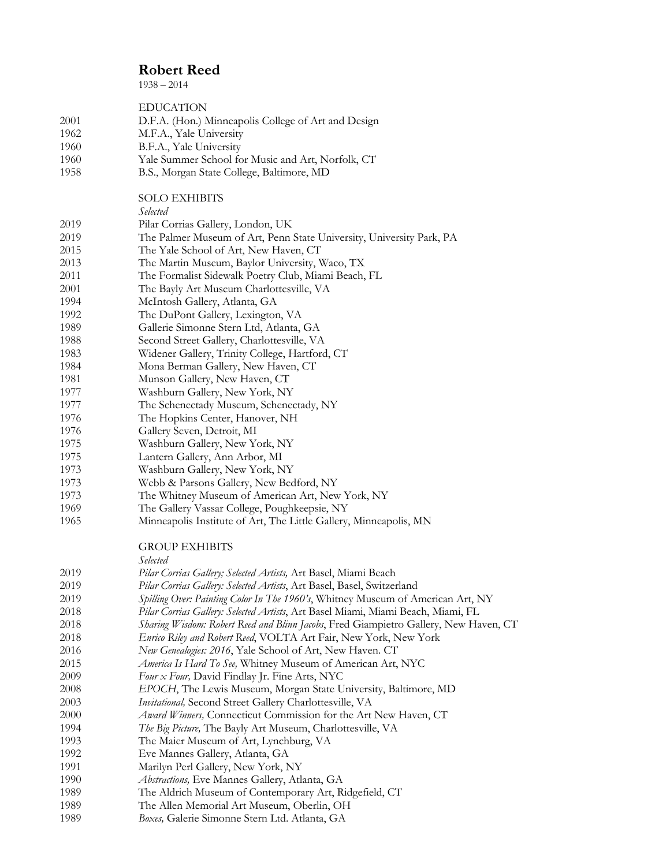$1938 - 2014$ 

| 2001         | <b>EDUCATION</b><br>D.F.A. (Hon.) Minneapolis College of Art and Design                              |
|--------------|------------------------------------------------------------------------------------------------------|
| 1962         | M.F.A., Yale University                                                                              |
| 1960         | B.F.A., Yale University                                                                              |
| 1960         | Yale Summer School for Music and Art, Norfolk, CT                                                    |
| 1958         | B.S., Morgan State College, Baltimore, MD                                                            |
|              | <b>SOLO EXHIBITS</b>                                                                                 |
|              | Selected                                                                                             |
| 2019         | Pilar Corrias Gallery, London, UK                                                                    |
| 2019         | The Palmer Museum of Art, Penn State University, University Park, PA                                 |
| 2015         | The Yale School of Art, New Haven, CT                                                                |
| 2013         | The Martin Museum, Baylor University, Waco, TX                                                       |
| 2011         | The Formalist Sidewalk Poetry Club, Miami Beach, FL                                                  |
| 2001         | The Bayly Art Museum Charlottesville, VA                                                             |
| 1994         | McIntosh Gallery, Atlanta, GA                                                                        |
| 1992         | The DuPont Gallery, Lexington, VA                                                                    |
| 1989         | Gallerie Simonne Stern Ltd, Atlanta, GA                                                              |
| 1988         | Second Street Gallery, Charlottesville, VA                                                           |
| 1983<br>1984 | Widener Gallery, Trinity College, Hartford, CT                                                       |
| 1981         | Mona Berman Gallery, New Haven, CT<br>Munson Gallery, New Haven, CT                                  |
| 1977         | Washburn Gallery, New York, NY                                                                       |
| 1977         | The Schenectady Museum, Schenectady, NY                                                              |
| 1976         | The Hopkins Center, Hanover, NH                                                                      |
| 1976         | Gallery Seven, Detroit, MI                                                                           |
| 1975         | Washburn Gallery, New York, NY                                                                       |
| 1975         | Lantern Gallery, Ann Arbor, MI                                                                       |
| 1973         | Washburn Gallery, New York, NY                                                                       |
| 1973         | Webb & Parsons Gallery, New Bedford, NY                                                              |
| 1973         | The Whitney Museum of American Art, New York, NY                                                     |
| 1969         | The Gallery Vassar College, Poughkeepsie, NY                                                         |
| 1965         | Minneapolis Institute of Art, The Little Gallery, Minneapolis, MN                                    |
|              | <b>GROUP EXHIBITS</b><br>Selected                                                                    |
| 2019         | Pilar Corrias Gallery; Selected Artists, Art Basel, Miami Beach                                      |
| 2019         | Pilar Corrias Gallery: Selected Artists, Art Basel, Basel, Switzerland                               |
| 2019         | Spilling Over: Painting Color In The 1960's, Whitney Museum of American Art, NY                      |
| 2018         | Pilar Corrias Gallery: Selected Artists, Art Basel Miami, Miami Beach, Miami, FL                     |
| 2018         | Sharing Wisdom: Robert Reed and Blinn Jacobs, Fred Giampietro Gallery, New Haven, CT                 |
| 2018         | Enrico Riley and Robert Reed, VOLTA Art Fair, New York, New York                                     |
| 2016         | New Genealogies: 2016, Yale School of Art, New Haven. CT                                             |
| 2015         | America Is Hard To See, Whitney Museum of American Art, NYC                                          |
| 2009         | Four x Four, David Findlay Jr. Fine Arts, NYC                                                        |
| 2008         | EPOCH, The Lewis Museum, Morgan State University, Baltimore, MD                                      |
| 2003         | Invitational, Second Street Gallery Charlottesville, VA                                              |
| 2000         | Award Winners, Connecticut Commission for the Art New Haven, CT                                      |
| 1994         | The Big Picture, The Bayly Art Museum, Charlottesville, VA                                           |
| 1993         | The Maier Museum of Art, Lynchburg, VA                                                               |
| 1992         | Eve Mannes Gallery, Atlanta, GA                                                                      |
| 1991         | Marilyn Perl Gallery, New York, NY                                                                   |
| 1990         | Abstractions, Eve Mannes Gallery, Atlanta, GA                                                        |
| 1989<br>1989 | The Aldrich Museum of Contemporary Art, Ridgefield, CT<br>The Allen Memorial Art Museum, Oberlin, OH |
| 1989         | Boxes, Galerie Simonne Stern Ltd. Atlanta, GA                                                        |
|              |                                                                                                      |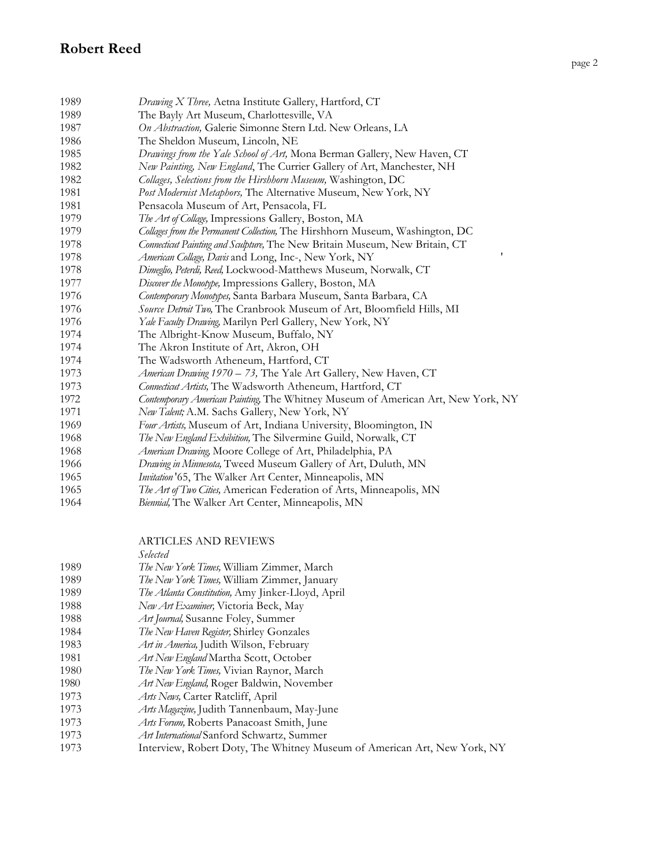| 1989 | Drawing X Three, Aetna Institute Gallery, Hartford, CT                           |
|------|----------------------------------------------------------------------------------|
| 1989 | The Bayly Art Museum, Charlottesville, VA                                        |
| 1987 | On Abstraction, Galerie Simonne Stern Ltd. New Orleans, LA                       |
| 1986 | The Sheldon Museum, Lincoln, NE                                                  |
| 1985 | Drawings from the Yale School of Art, Mona Berman Gallery, New Haven, CT         |
| 1982 | New Painting, New England, The Currier Gallery of Art, Manchester, NH            |
| 1982 | Collages, Selections from the Hirshhorn Museum, Washington, DC                   |
| 1981 | Post Modernist Metaphors, The Alternative Museum, New York, NY                   |
| 1981 | Pensacola Museum of Art, Pensacola, FL                                           |
| 1979 | The Art of Collage, Impressions Gallery, Boston, MA                              |
| 1979 | Collages from the Permanent Collection, The Hirshhorn Museum, Washington, DC     |
| 1978 | Connecticut Painting and Sculpture, The New Britain Museum, New Britain, CT      |
| 1978 | 1<br>American Collage, Davis and Long, Inc-, New York, NY                        |
| 1978 | Dimeglio, Peterdi, Reed, Lockwood-Matthews Museum, Norwalk, CT                   |
| 1977 | Discover the Monotype, Impressions Gallery, Boston, MA                           |
| 1976 | Contemporary Monotypes, Santa Barbara Museum, Santa Barbara, CA                  |
| 1976 | Source Detroit Two, The Cranbrook Museum of Art, Bloomfield Hills, MI            |
| 1976 | Yale Faculty Drawing, Marilyn Perl Gallery, New York, NY                         |
| 1974 | The Albright-Know Museum, Buffalo, NY                                            |
| 1974 | The Akron Institute of Art, Akron, OH                                            |
| 1974 | The Wadsworth Atheneum, Hartford, CT                                             |
| 1973 | American Drawing 1970 - 73, The Yale Art Gallery, New Haven, CT                  |
| 1973 | Connecticut Artists, The Wadsworth Atheneum, Hartford, CT                        |
| 1972 | Contemporary American Painting, The Whitney Museum of American Art, New York, NY |
| 1971 | New Talent; A.M. Sachs Gallery, New York, NY                                     |
| 1969 | Four Artists, Museum of Art, Indiana University, Bloomington, IN                 |
| 1968 | The New England Exhibition, The Silvermine Guild, Norwalk, CT                    |
| 1968 | American Drawing, Moore College of Art, Philadelphia, PA                         |
| 1966 | Drawing in Minnesota, Tweed Museum Gallery of Art, Duluth, MN                    |
| 1965 | Invitation '65, The Walker Art Center, Minneapolis, MN                           |
| 1965 | The Art of Two Cities, American Federation of Arts, Minneapolis, MN              |
| 1964 | Biennial, The Walker Art Center, Minneapolis, MN                                 |

ARTICLES AND REVIEWS

*Selected The New York Times,* William Zimmer, March *The New York Times,* William Zimmer, January *The Atlanta Constitution,* Amy Jinker-Lloyd, April *New Art Examiner,* Victoria Beck, May *Art Journal,* Susanne Foley, Summer *The New Haven Register,* Shirley Gonzales *Art in America,* Judith Wilson, February *Art New England* Martha Scott, October *The New York Times,* Vivian Raynor, March *Art New England,* Roger Baldwin, November *Arts News,* Carter Ratcliff, April *Arts Magazine,* Judith Tannenbaum, May-June *Arts Forum,* Roberts Panacoast Smith, June *Art International* Sanford Schwartz, Summer Interview, Robert Doty, The Whitney Museum of American Art, New York, NY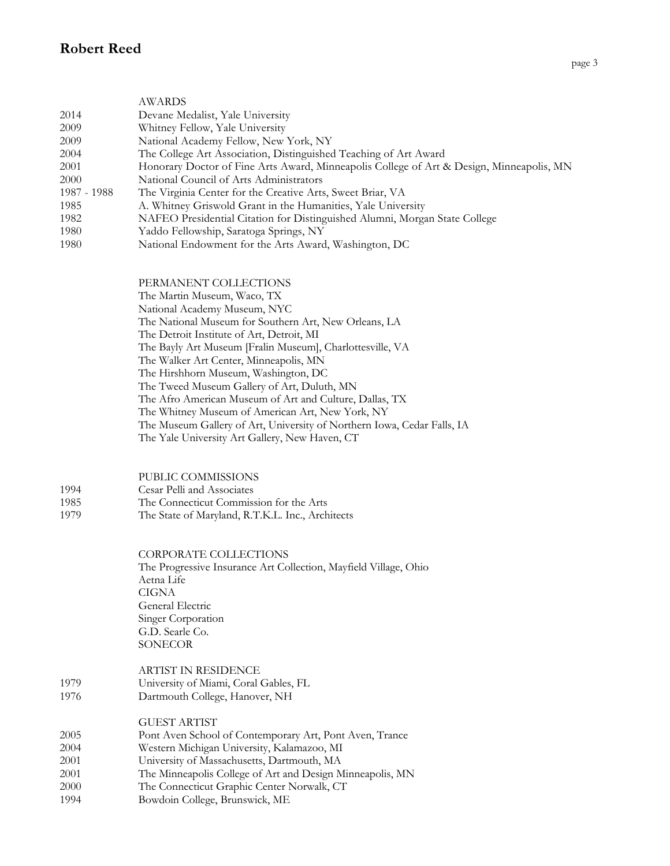|             | <b>AWARDS</b>                                                                            |
|-------------|------------------------------------------------------------------------------------------|
| 2014        | Devane Medalist, Yale University                                                         |
| 2009        | Whitney Fellow, Yale University                                                          |
| 2009        | National Academy Fellow, New York, NY                                                    |
| 2004        | The College Art Association, Distinguished Teaching of Art Award                         |
| 2001        | Honorary Doctor of Fine Arts Award, Minneapolis College of Art & Design, Minneapolis, MN |
| 2000        | National Council of Arts Administrators                                                  |
| 1987 - 1988 | The Virginia Center for the Creative Arts, Sweet Briar, VA                               |
| 1985        | A. Whitney Griswold Grant in the Humanities, Yale University                             |
| 1982        | NAFEO Presidential Citation for Distinguished Alumni, Morgan State College               |
| 1980        | Yaddo Fellowship, Saratoga Springs, NY                                                   |
| 1980        | National Endowment for the Arts Award, Washington, DC                                    |
|             |                                                                                          |

PERMANENT COLLECTIONS

The Martin Museum, Waco, TX

National Academy Museum, NYC

The National Museum for Southern Art, New Orleans, LA

The Detroit Institute of Art, Detroit, MI

The Bayly Art Museum [Fralin Museum], Charlottesville, VA

The Walker Art Center, Minneapolis, MN

The Hirshhorn Museum, Washington, DC

The Tweed Museum Gallery of Art, Duluth, MN

The Afro American Museum of Art and Culture, Dallas, TX

The Whitney Museum of American Art, New York, NY

The Museum Gallery of Art, University of Northern Iowa, Cedar Falls, IA

The Yale University Art Gallery, New Haven, CT

PUBLIC COMMISSIONS

#### 1994 Cesar Pelli and Associates

- 1985 The Connecticut Commission for the Arts
- 1979 The State of Maryland, R.T.K.L. Inc., Architects

CORPORATE COLLECTIONS

The Progressive Insurance Art Collection, Mayfield Village, Ohio Aetna Life CIGNA General Electric Singer Corporation G.D. Searle Co. **SONECOR** 

|      | ARTIST IN RESIDENCE                   |
|------|---------------------------------------|
| 1979 | University of Miami, Coral Gables, FL |
| 1976 | Dartmouth College, Hanover, NH        |

# GUEST ARTIST

 Pont Aven School of Contemporary Art, Pont Aven, Trance Western Michigan University, Kalamazoo, MI University of Massachusetts, Dartmouth, MA The Minneapolis College of Art and Design Minneapolis, MN The Connecticut Graphic Center Norwalk, CT Bowdoin College, Brunswick, ME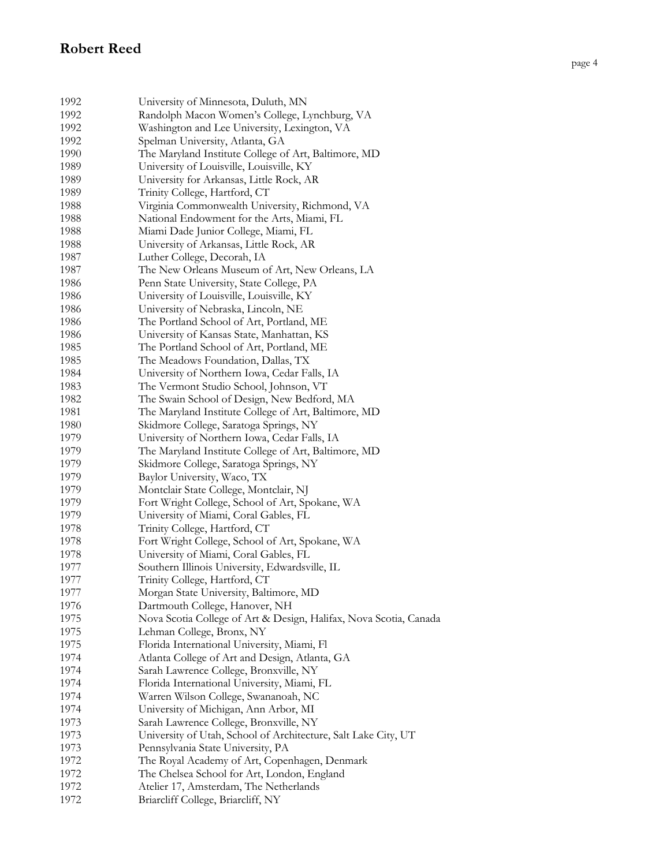| 1992 | University of Minnesota, Duluth, MN                                                                      |
|------|----------------------------------------------------------------------------------------------------------|
| 1992 | Randolph Macon Women's College, Lynchburg, VA                                                            |
| 1992 | Washington and Lee University, Lexington, VA                                                             |
| 1992 | Spelman University, Atlanta, GA                                                                          |
| 1990 | The Maryland Institute College of Art, Baltimore, MD                                                     |
| 1989 | University of Louisville, Louisville, KY                                                                 |
| 1989 | University for Arkansas, Little Rock, AR                                                                 |
| 1989 | Trinity College, Hartford, CT                                                                            |
| 1988 | Virginia Commonwealth University, Richmond, VA                                                           |
| 1988 | National Endowment for the Arts, Miami, FL                                                               |
| 1988 | Miami Dade Junior College, Miami, FL                                                                     |
| 1988 | University of Arkansas, Little Rock, AR                                                                  |
| 1987 | Luther College, Decorah, IA                                                                              |
| 1987 | The New Orleans Museum of Art, New Orleans, LA                                                           |
| 1986 | Penn State University, State College, PA                                                                 |
| 1986 | University of Louisville, Louisville, KY                                                                 |
| 1986 | University of Nebraska, Lincoln, NE                                                                      |
| 1986 | The Portland School of Art, Portland, ME                                                                 |
| 1986 | University of Kansas State, Manhattan, KS                                                                |
| 1985 | The Portland School of Art, Portland, ME                                                                 |
| 1985 | The Meadows Foundation, Dallas, TX                                                                       |
| 1984 | University of Northern Iowa, Cedar Falls, IA                                                             |
| 1983 | The Vermont Studio School, Johnson, VT                                                                   |
| 1982 | The Swain School of Design, New Bedford, MA                                                              |
| 1981 | The Maryland Institute College of Art, Baltimore, MD                                                     |
| 1980 | Skidmore College, Saratoga Springs, NY                                                                   |
| 1979 | University of Northern Iowa, Cedar Falls, IA                                                             |
| 1979 | The Maryland Institute College of Art, Baltimore, MD                                                     |
| 1979 | Skidmore College, Saratoga Springs, NY                                                                   |
| 1979 | Baylor University, Waco, TX                                                                              |
| 1979 | Montclair State College, Montclair, NJ                                                                   |
| 1979 | Fort Wright College, School of Art, Spokane, WA                                                          |
| 1979 | University of Miami, Coral Gables, FL                                                                    |
| 1978 | Trinity College, Hartford, CT                                                                            |
| 1978 | Fort Wright College, School of Art, Spokane, WA                                                          |
| 1978 | University of Miami, Coral Gables, FL                                                                    |
| 1977 | Southern Illinois University, Edwardsville, IL                                                           |
| 1977 | Trinity College, Hartford, CT                                                                            |
| 1977 | Morgan State University, Baltimore, MD                                                                   |
| 1976 | Dartmouth College, Hanover, NH                                                                           |
| 1975 | Nova Scotia College of Art & Design, Halifax, Nova Scotia, Canada                                        |
| 1975 | Lehman College, Bronx, NY                                                                                |
| 1975 | Florida International University, Miami, Fl                                                              |
| 1974 | Atlanta College of Art and Design, Atlanta, GA                                                           |
| 1974 | Sarah Lawrence College, Bronxville, NY                                                                   |
| 1974 | Florida International University, Miami, FL                                                              |
| 1974 | Warren Wilson College, Swananoah, NC                                                                     |
| 1974 | University of Michigan, Ann Arbor, MI                                                                    |
| 1973 |                                                                                                          |
| 1973 | Sarah Lawrence College, Bronxville, NY<br>University of Utah, School of Architecture, Salt Lake City, UT |
| 1973 | Pennsylvania State University, PA                                                                        |
| 1972 |                                                                                                          |
| 1972 | The Royal Academy of Art, Copenhagen, Denmark                                                            |
| 1972 | The Chelsea School for Art, London, England                                                              |
|      | Atelier 17, Amsterdam, The Netherlands                                                                   |
| 1972 | Briarcliff College, Briarcliff, NY                                                                       |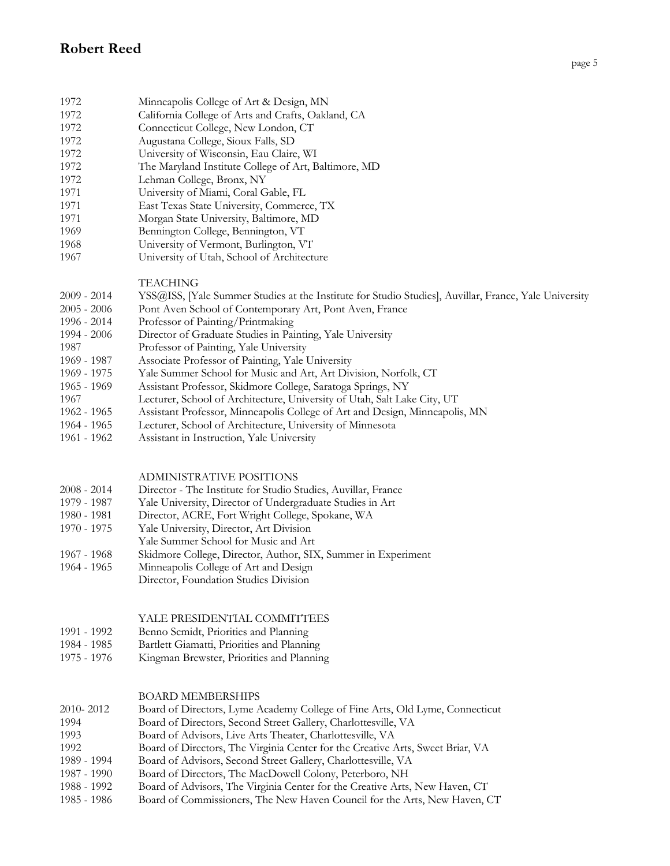- 1972 Minneapolis College of Art & Design, MN
- 1972 California College of Arts and Crafts, Oakland, CA
- 1972 Connecticut College, New London, CT
- 1972 Augustana College, Sioux Falls, SD
- 1972 University of Wisconsin, Eau Claire, WI
- 1972 The Maryland Institute College of Art, Baltimore, MD
- 1972 Lehman College, Bronx, NY
- 1971 University of Miami, Coral Gable, FL
- 1971 East Texas State University, Commerce, TX
- 1971 Morgan State University, Baltimore, MD
- 1969 Bennington College, Bennington, VT
- 1968 University of Vermont, Burlington, VT 1967 University of Utah, School of Architecture
	- TEACHING
- 2009 2014 YSS@ISS, [Yale Summer Studies at the Institute for Studio Studies], Auvillar, France, Yale University
- 2005 2006 Pont Aven School of Contemporary Art, Pont Aven, France
- 1996 2014 Professor of Painting/Printmaking
- 1994 2006 Director of Graduate Studies in Painting, Yale University
- 1987 Professor of Painting, Yale University
- 1969 1987 Associate Professor of Painting, Yale University
- 1969 1975 Yale Summer School for Music and Art, Art Division, Norfolk, CT
- 1965 1969 Assistant Professor, Skidmore College, Saratoga Springs, NY
- 1967 Lecturer, School of Architecture, University of Utah, Salt Lake City, UT
- 1962 1965 Assistant Professor, Minneapolis College of Art and Design, Minneapolis, MN
- 1964 1965 Lecturer, School of Architecture, University of Minnesota
- 1961 1962 Assistant in Instruction, Yale University

#### ADMINISTRATIVE POSITIONS

- 2008 2014 Director The Institute for Studio Studies, Auvillar, France
- 1979 1987 Yale University, Director of Undergraduate Studies in Art
- 1980 1981 Director, ACRE, Fort Wright College, Spokane, WA
- 1970 1975 Yale University, Director, Art Division
- Yale Summer School for Music and Art
- 1967 1968 Skidmore College, Director, Author, SIX, Summer in Experiment
- 1964 1965 Minneapolis College of Art and Design
	- Director, Foundation Studies Division

#### YALE PRESIDENTIAL COMMITTEES

- 1991 1992 Benno Scmidt, Priorities and Planning
- 1984 1985 Bartlett Giamatti, Priorities and Planning
- 1975 1976 Kingman Brewster, Priorities and Planning

#### BOARD MEMBERSHIPS

- 2010- 2012 Board of Directors, Lyme Academy College of Fine Arts, Old Lyme, Connecticut 1994 Board of Directors, Second Street Gallery, Charlottesville, VA 1993 Board of Advisors, Live Arts Theater, Charlottesville, VA 1992 Board of Directors, The Virginia Center for the Creative Arts, Sweet Briar, VA 1989 - 1994 Board of Advisors, Second Street Gallery, Charlottesville, VA 1987 - 1990 Board of Directors, The MacDowell Colony, Peterboro, NH 1988 - 1992 Board of Advisors, The Virginia Center for the Creative Arts, New Haven, CT
- 1985 1986 Board of Commissioners, The New Haven Council for the Arts, New Haven, CT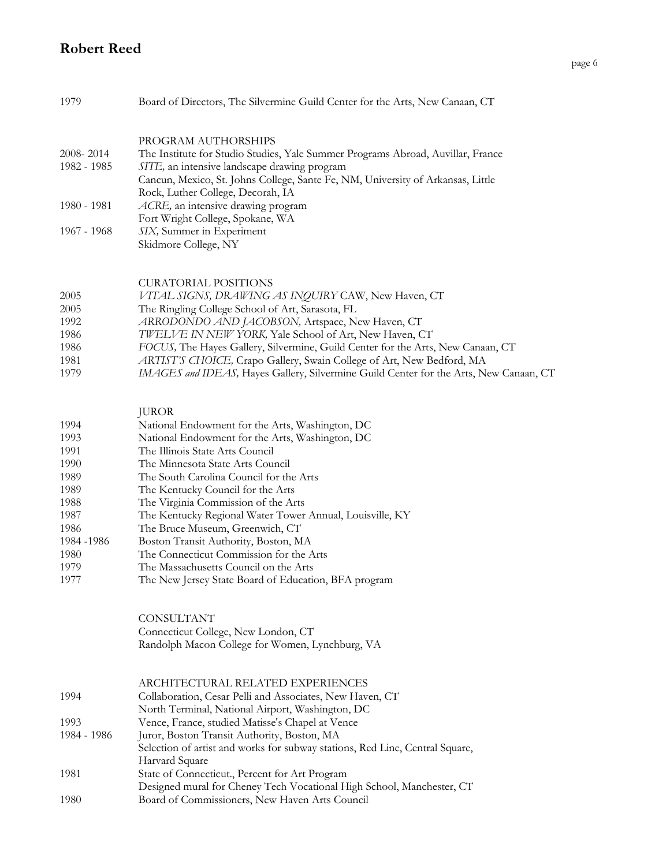| 1979         | Board of Directors, The Silvermine Guild Center for the Arts, New Canaan, CT                                                                                         |
|--------------|----------------------------------------------------------------------------------------------------------------------------------------------------------------------|
| 2008-2014    | PROGRAM AUTHORSHIPS<br>The Institute for Studio Studies, Yale Summer Programs Abroad, Auvillar, France                                                               |
| 1982 - 1985  | SITE, an intensive landscape drawing program<br>Cancun, Mexico, St. Johns College, Sante Fe, NM, University of Arkansas, Little<br>Rock, Luther College, Decorah, IA |
| 1980 - 1981  | ACRE, an intensive drawing program<br>Fort Wright College, Spokane, WA                                                                                               |
| 1967 - 1968  | SIX, Summer in Experiment<br>Skidmore College, NY                                                                                                                    |
|              |                                                                                                                                                                      |
|              | <b>CURATORIAL POSITIONS</b>                                                                                                                                          |
| 2005<br>2005 | VITAL SIGNS, DRAWING AS INQUIRY CAW, New Haven, CT<br>The Ringling College School of Art, Sarasota, FL                                                               |
| 1992         | ARRODONDO AND JACOBSON, Artspace, New Haven, CT                                                                                                                      |
| 1986         | TWELVE IN NEW YORK, Yale School of Art, New Haven, CT                                                                                                                |
| 1986         | FOCUS, The Hayes Gallery, Silvermine, Guild Center for the Arts, New Canaan, CT                                                                                      |
| 1981         | ARTIST'S CHOICE, Crapo Gallery, Swain College of Art, New Bedford, MA                                                                                                |
| 1979         | IMAGES and IDEAS, Hayes Gallery, Silvermine Guild Center for the Arts, New Canaan, CT                                                                                |
|              | <b>JUROR</b>                                                                                                                                                         |
| 1994         | National Endowment for the Arts, Washington, DC                                                                                                                      |
| 1993         | National Endowment for the Arts, Washington, DC                                                                                                                      |
| 1991         | The Illinois State Arts Council                                                                                                                                      |
| 1990         | The Minnesota State Arts Council                                                                                                                                     |
| 1989         | The South Carolina Council for the Arts                                                                                                                              |
| 1989         | The Kentucky Council for the Arts                                                                                                                                    |
| 1988         | The Virginia Commission of the Arts                                                                                                                                  |

- 1987 The Kentucky Regional Water Tower Annual, Louisville, KY
- 1986 The Bruce Museum, Greenwich, CT
- 1984 -1986 Boston Transit Authority, Boston, MA 1980 The Connecticut Commission for the Arts 1979 The Massachusetts Council on the Arts
- 1977 The New Jersey State Board of Education, BFA program

CONSULTANT Connecticut College, New London, CT Randolph Macon College for Women, Lynchburg, VA

### ARCHITECTURAL RELATED EXPERIENCES 1994 Collaboration, Cesar Pelli and Associates, New Haven, CT

- North Terminal, National Airport, Washington, DC
- 1993 Vence, France, studied Matisse's Chapel at Vence
- 1984 1986 Juror, Boston Transit Authority, Boston, MA
- Selection of artist and works for subway stations, Red Line, Central Square, Harvard Square 1981 State of Connecticut., Percent for Art Program
- Designed mural for Cheney Tech Vocational High School, Manchester, CT 1980 Board of Commissioners, New Haven Arts Council